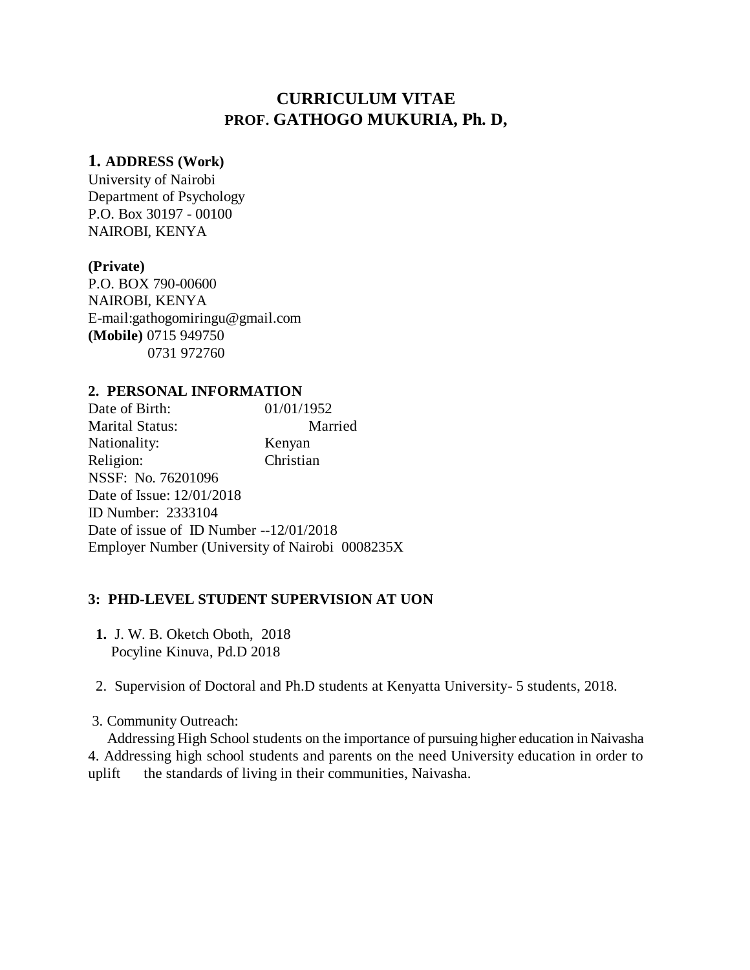# **CURRICULUM VITAE PROF. GATHOGO MUKURIA, Ph. D,**

#### **1. ADDRESS (Work)**

University of Nairobi Department of Psychology P.O. Box 30197 - 00100 NAIROBI, KENYA

#### **(Private)**

P.O. BOX 790-00600 NAIROBI, KENYA E-mail:gathogomiringu@gmail.com **(Mobile)** 0715 949750 0731 972760

#### **2. PERSONAL INFORMATION**

Date of Birth: 01/01/1952 Marital Status: Married Nationality: Kenyan Religion: Christian NSSF: No. 76201096 Date of Issue: 12/01/2018 ID Number: 2333104 Date of issue of ID Number --12/01/2018 Employer Number (University of Nairobi 0008235X

#### **3: PHD-LEVEL STUDENT SUPERVISION AT UON**

- **1.** J. W. B. Oketch Oboth, 2018 Pocyline Kinuva, Pd.D 2018
- 2. Supervision of Doctoral and Ph.D students at Kenyatta University- 5 students, 2018.
- 3. Community Outreach:

 Addressing High School students on the importance of pursuing higher education in Naivasha 4. Addressing high school students and parents on the need University education in order to uplift the standards of living in their communities, Naivasha.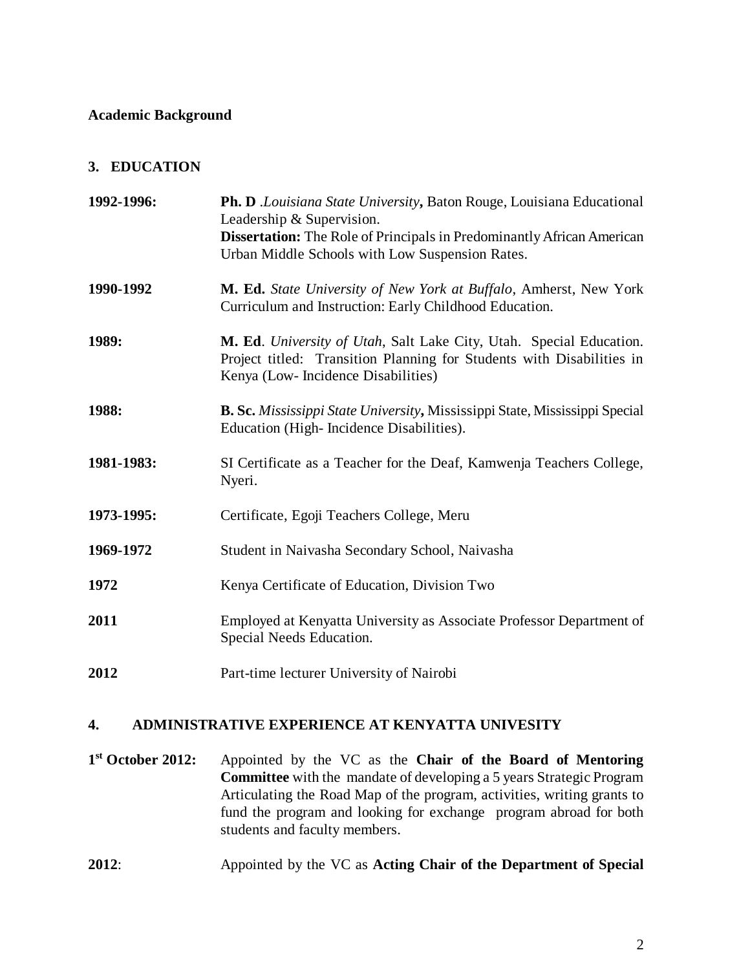#### **Academic Background**

#### **3. EDUCATION**

| 1992-1996: | Ph. D .Louisiana State University, Baton Rouge, Louisiana Educational<br>Leadership & Supervision.<br><b>Dissertation:</b> The Role of Principals in Predominantly African American<br>Urban Middle Schools with Low Suspension Rates. |
|------------|----------------------------------------------------------------------------------------------------------------------------------------------------------------------------------------------------------------------------------------|
| 1990-1992  | M. Ed. State University of New York at Buffalo, Amherst, New York<br>Curriculum and Instruction: Early Childhood Education.                                                                                                            |
| 1989:      | M. Ed. University of Utah, Salt Lake City, Utah. Special Education.<br>Project titled: Transition Planning for Students with Disabilities in<br>Kenya (Low- Incidence Disabilities)                                                    |
| 1988:      | B. Sc. Mississippi State University, Mississippi State, Mississippi Special<br>Education (High-Incidence Disabilities).                                                                                                                |
| 1981-1983: | SI Certificate as a Teacher for the Deaf, Kamwenja Teachers College,<br>Nyeri.                                                                                                                                                         |
| 1973-1995: | Certificate, Egoji Teachers College, Meru                                                                                                                                                                                              |
| 1969-1972  | Student in Naivasha Secondary School, Naivasha                                                                                                                                                                                         |
| 1972       | Kenya Certificate of Education, Division Two                                                                                                                                                                                           |
| 2011       | Employed at Kenyatta University as Associate Professor Department of<br>Special Needs Education.                                                                                                                                       |
| 2012       | Part-time lecturer University of Nairobi                                                                                                                                                                                               |

#### **4. ADMINISTRATIVE EXPERIENCE AT KENYATTA UNIVESITY**

1<sup>st</sup> October 2012: **st October 2012:** Appointed by the VC as the **Chair of the Board of Mentoring Committee** with the mandate of developing a 5 years Strategic Program Articulating the Road Map of the program, activities, writing grants to fund the program and looking for exchange program abroad for both students and faculty members.

### **2012**: Appointed by the VC as **Acting Chair of the Department of Special**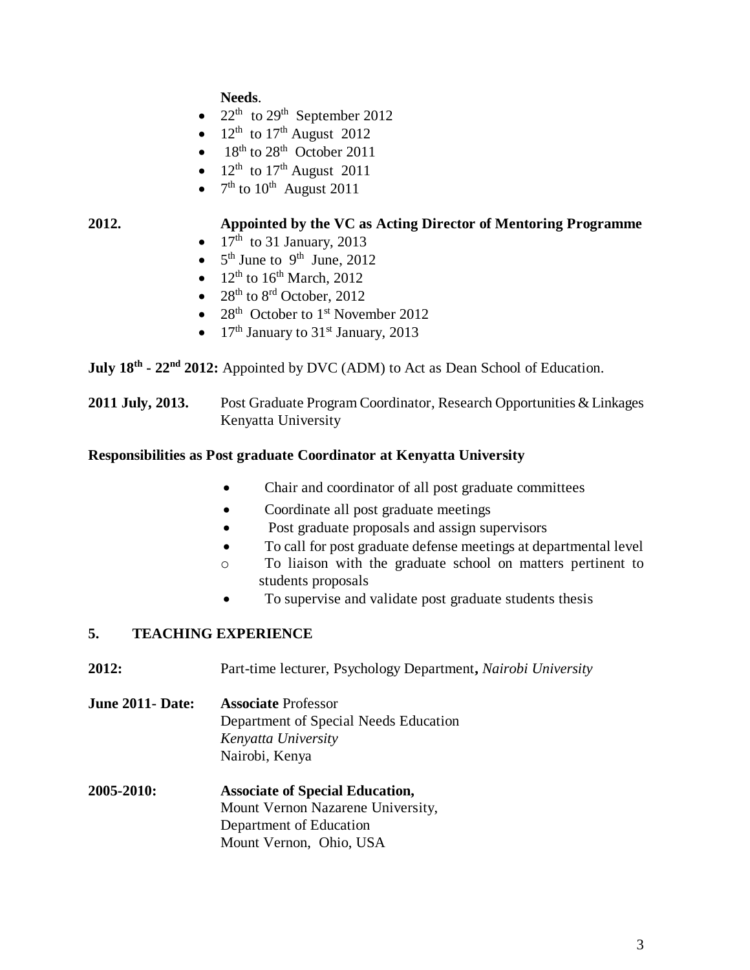**Needs**.

- $22<sup>th</sup>$  to  $29<sup>th</sup>$  September 2012
- $12<sup>th</sup>$  to  $17<sup>th</sup>$  August 2012
- $\bullet$  18<sup>th</sup> to 28<sup>th</sup> October 2011
- $12^{\text{th}}$  to  $17^{\text{th}}$  August 2011
- $7<sup>th</sup>$  to  $10<sup>th</sup>$  August 2011

# **2012. Appointed by the VC as Acting Director of Mentoring Programme**

- $17<sup>th</sup>$  to 31 January, 2013
- $5<sup>th</sup>$  June to 9<sup>th</sup> June, 2012
- $12<sup>th</sup>$  to  $16<sup>th</sup>$  March, 2012
- $28^{th}$  to  $8^{rd}$  October, 2012
- 28<sup>th</sup> October to 1<sup>st</sup> November 2012
- 17<sup>th</sup> January to  $31<sup>st</sup>$  January, 2013

**July 18th - 22nd 2012:** Appointed by DVC (ADM) to Act as Dean School of Education.

**2011 July, 2013.** Post Graduate Program Coordinator, Research Opportunities & Linkages Kenyatta University

## **Responsibilities as Post graduate Coordinator at Kenyatta University**

- Chair and coordinator of all post graduate committees
- Coordinate all post graduate meetings
- Post graduate proposals and assign supervisors
- To call for post graduate defense meetings at departmental level
- o To liaison with the graduate school on matters pertinent to students proposals
- To supervise and validate post graduate students thesis

## **5. TEACHING EXPERIENCE**

**2012:** Part-time lecturer, Psychology Department**,** *Nairobi University*

**June 2011- Date: Associate** Professor Department of Special Needs Education *Kenyatta University* Nairobi, Kenya

**2005-2010: Associate of Special Education,** Mount Vernon Nazarene University, Department of Education Mount Vernon, Ohio, USA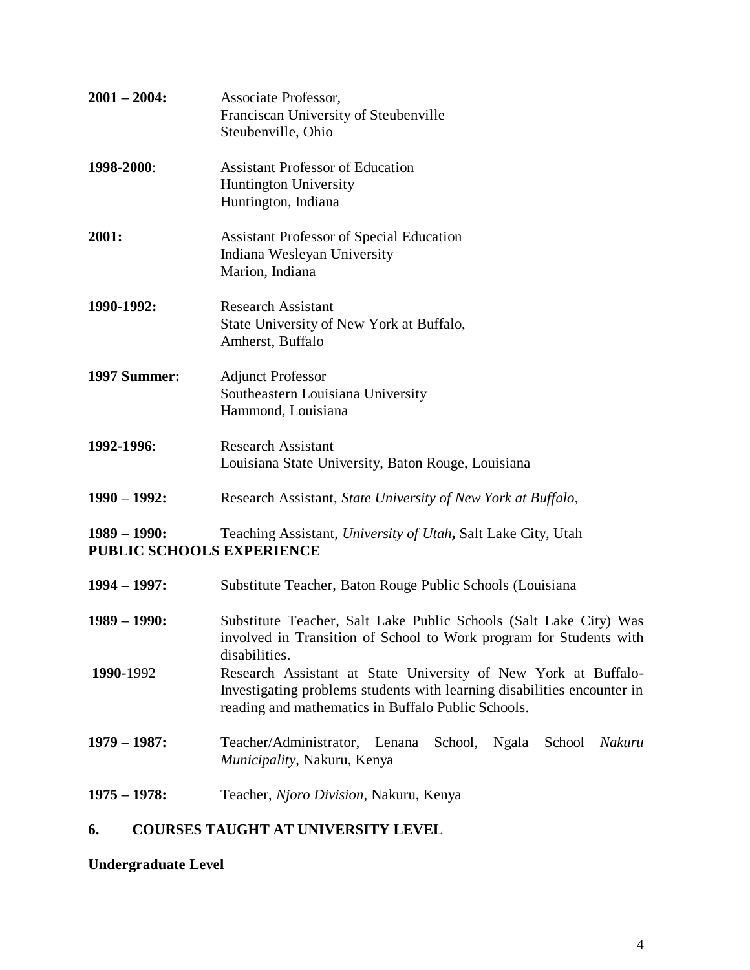| $2001 - 2004$ :                                     | Associate Professor,<br>Franciscan University of Steubenville<br>Steubenville, Ohio               |
|-----------------------------------------------------|---------------------------------------------------------------------------------------------------|
| 1998-2000:                                          | <b>Assistant Professor of Education</b><br><b>Huntington University</b><br>Huntington, Indiana    |
| 2001:                                               | <b>Assistant Professor of Special Education</b><br>Indiana Wesleyan University<br>Marion, Indiana |
| 1990-1992:                                          | <b>Research Assistant</b><br>State University of New York at Buffalo,<br>Amherst, Buffalo         |
| <b>1997 Summer:</b>                                 | <b>Adjunct Professor</b><br>Southeastern Louisiana University<br>Hammond, Louisiana               |
| 1992-1996:                                          | <b>Research Assistant</b><br>Louisiana State University, Baton Rouge, Louisiana                   |
| $1990 - 1992$ :                                     | Research Assistant, State University of New York at Buffalo,                                      |
| $1989 - 1990$ :<br><b>PUBLIC SCHOOLS EXPERIENCE</b> | Teaching Assistant, University of Utah, Salt Lake City, Utah                                      |

| $1994 - 1997$ : | Substitute Teacher, Baton Rouge Public Schools (Louisiana)                                                                                                                                      |
|-----------------|-------------------------------------------------------------------------------------------------------------------------------------------------------------------------------------------------|
| $1989 - 1990$ : | Substitute Teacher, Salt Lake Public Schools (Salt Lake City) Was<br>involved in Transition of School to Work program for Students with<br>disabilities.                                        |
| 1990-1992       | Research Assistant at State University of New York at Buffalo-<br>Investigating problems students with learning disabilities encounter in<br>reading and mathematics in Buffalo Public Schools. |
| $1979 - 1987$ : | Teacher/Administrator, Lenana<br>School,<br>Ngala<br>Nakuru<br>School<br><i>Municipality</i> , Nakuru, Kenya                                                                                    |
| $1975 - 1978$ : | Teacher, Njoro Division, Nakuru, Kenya                                                                                                                                                          |

# **6. COURSES TAUGHT AT UNIVERSITY LEVEL**

**Undergraduate Level**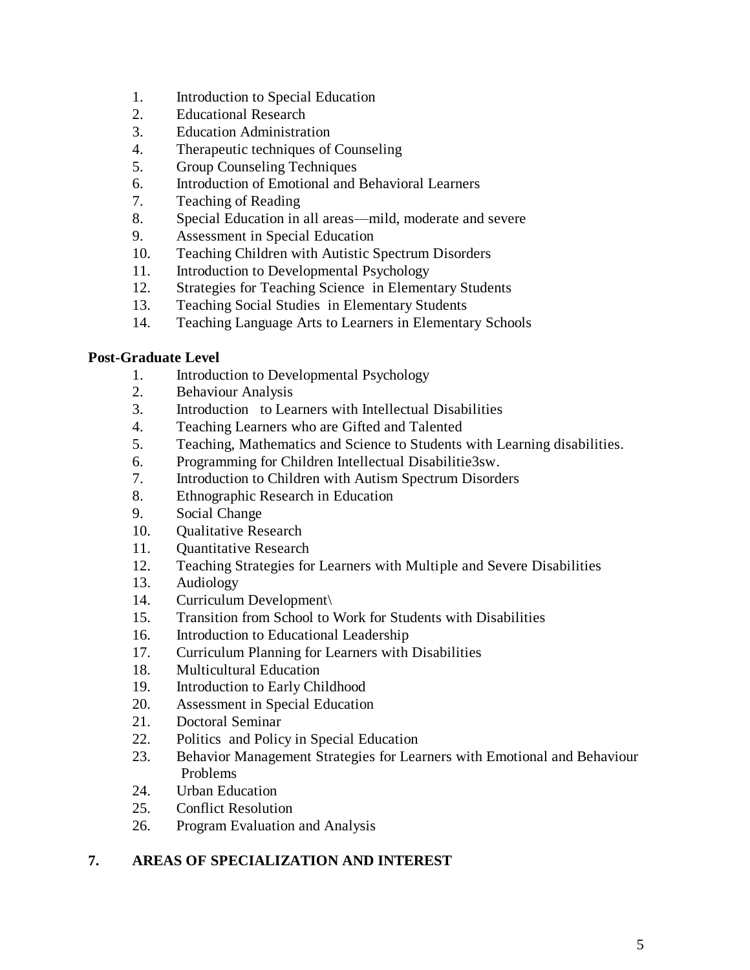- 1. Introduction to Special Education
- 2. Educational Research
- 3. Education Administration
- 4. Therapeutic techniques of Counseling
- 5. Group Counseling Techniques
- 6. Introduction of Emotional and Behavioral Learners
- 7. Teaching of Reading
- 8. Special Education in all areas—mild, moderate and severe
- 9. Assessment in Special Education
- 10. Teaching Children with Autistic Spectrum Disorders
- 11. Introduction to Developmental Psychology
- 12. Strategies for Teaching Science in Elementary Students
- 13. Teaching Social Studies in Elementary Students
- 14. Teaching Language Arts to Learners in Elementary Schools

# **Post-Graduate Level**

- 1. Introduction to Developmental Psychology
- 2. Behaviour Analysis
- 3. Introduction to Learners with Intellectual Disabilities
- 4. Teaching Learners who are Gifted and Talented
- 5. Teaching, Mathematics and Science to Students with Learning disabilities.
- 6. Programming for Children Intellectual Disabilitie3sw.
- 7. Introduction to Children with Autism Spectrum Disorders
- 8. Ethnographic Research in Education
- 9. Social Change
- 10. Qualitative Research
- 11. Quantitative Research
- 12. Teaching Strategies for Learners with Multiple and Severe Disabilities
- 13. Audiology
- 14. Curriculum Development\
- 15. Transition from School to Work for Students with Disabilities
- 16. Introduction to Educational Leadership
- 17. Curriculum Planning for Learners with Disabilities
- 18. Multicultural Education
- 19. Introduction to Early Childhood
- 20. Assessment in Special Education
- 21. Doctoral Seminar
- 22. Politics and Policy in Special Education
- 23. Behavior Management Strategies for Learners with Emotional and Behaviour Problems
- 24. Urban Education
- 25. Conflict Resolution
- 26. Program Evaluation and Analysis

# **7. AREAS OF SPECIALIZATION AND INTEREST**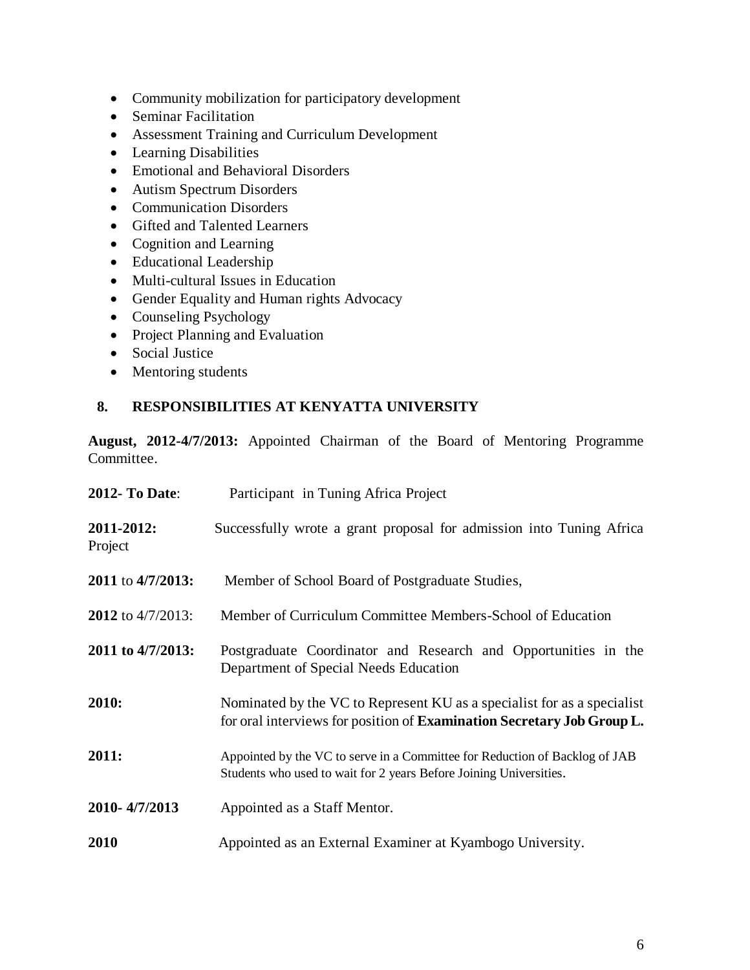- Community mobilization for participatory development
- Seminar Facilitation
- Assessment Training and Curriculum Development
- Learning Disabilities
- Emotional and Behavioral Disorders
- Autism Spectrum Disorders
- Communication Disorders
- Gifted and Talented Learners
- Cognition and Learning
- Educational Leadership
- Multi-cultural Issues in Education
- Gender Equality and Human rights Advocacy
- Counseling Psychology
- Project Planning and Evaluation
- Social Justice
- Mentoring students

# **8. RESPONSIBILITIES AT KENYATTA UNIVERSITY**

**August, 2012-4/7/2013:** Appointed Chairman of the Board of Mentoring Programme Committee.

| <b>2012- To Date:</b> | Participant in Tuning Africa Project                                                                                                              |
|-----------------------|---------------------------------------------------------------------------------------------------------------------------------------------------|
| 2011-2012:<br>Project | Successfully wrote a grant proposal for admission into Tuning Africa                                                                              |
| 2011 to 4/7/2013:     | Member of School Board of Postgraduate Studies,                                                                                                   |
| 2012 to 4/7/2013:     | Member of Curriculum Committee Members-School of Education                                                                                        |
| 2011 to 4/7/2013:     | Postgraduate Coordinator and Research and Opportunities in the<br>Department of Special Needs Education                                           |
| 2010:                 | Nominated by the VC to Represent KU as a specialist for as a specialist<br>for oral interviews for position of Examination Secretary Job Group L. |
| 2011:                 | Appointed by the VC to serve in a Committee for Reduction of Backlog of JAB<br>Students who used to wait for 2 years Before Joining Universities. |
| 2010-4/7/2013         | Appointed as a Staff Mentor.                                                                                                                      |
| <b>2010</b>           | Appointed as an External Examiner at Kyambogo University.                                                                                         |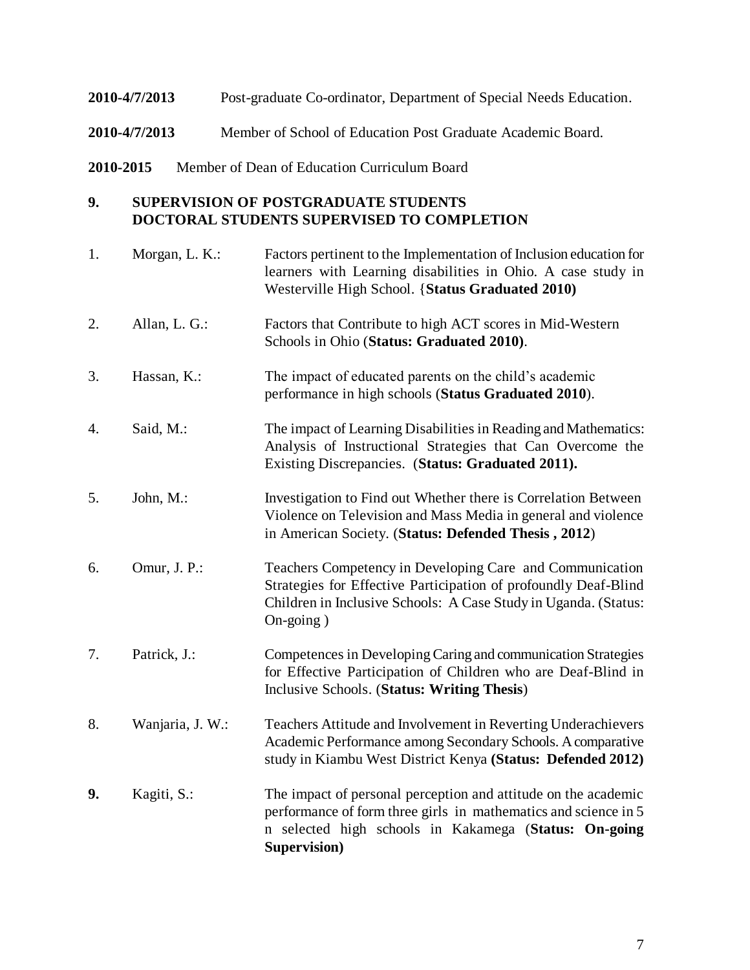#### **2010-4/7/2013** Post-graduate Co-ordinator, Department of Special Needs Education.

- **2010-4/7/2013** Member of School of Education Post Graduate Academic Board.
- **2010-2015** Member of Dean of Education Curriculum Board

#### **9. SUPERVISION OF POSTGRADUATE STUDENTS DOCTORAL STUDENTS SUPERVISED TO COMPLETION**

1. Morgan, L. K.: Factors pertinent to the Implementation of Inclusion education for learners with Learning disabilities in Ohio. A case study in Westerville High School. {**Status Graduated 2010)** 2. Allan, L. G.: Factors that Contribute to high ACT scores in Mid-Western Schools in Ohio (**Status: Graduated 2010)**. 3. Hassan, K.: The impact of educated parents on the child's academic performance in high schools (**Status Graduated 2010**). 4. Said, M.: The impact of Learning Disabilities in Reading and Mathematics: Analysis of Instructional Strategies that Can Overcome the Existing Discrepancies. (**Status: Graduated 2011).** 5. John, M.: Investigation to Find out Whether there is Correlation Between Violence on Television and Mass Media in general and violence in American Society. (**Status: Defended Thesis , 2012**) 6. Omur, J. P.: Teachers Competency in Developing Care and Communication Strategies for Effective Participation of profoundly Deaf-Blind Children in Inclusive Schools: A Case Study in Uganda. (Status: On-going ) 7. Patrick, J.: Competences in Developing Caring and communication Strategies for Effective Participation of Children who are Deaf-Blind in Inclusive Schools. (**Status: Writing Thesis**) 8. Wanjaria, J. W.: Teachers Attitude and Involvement in Reverting Underachievers Academic Performance among Secondary Schools. A comparative study in Kiambu West District Kenya **(Status: Defended 2012) 9.** Kagiti, S.: The impact of personal perception and attitude on the academic performance of form three girls in mathematics and science in 5 n selected high schools in Kakamega (**Status: On-going Supervision)**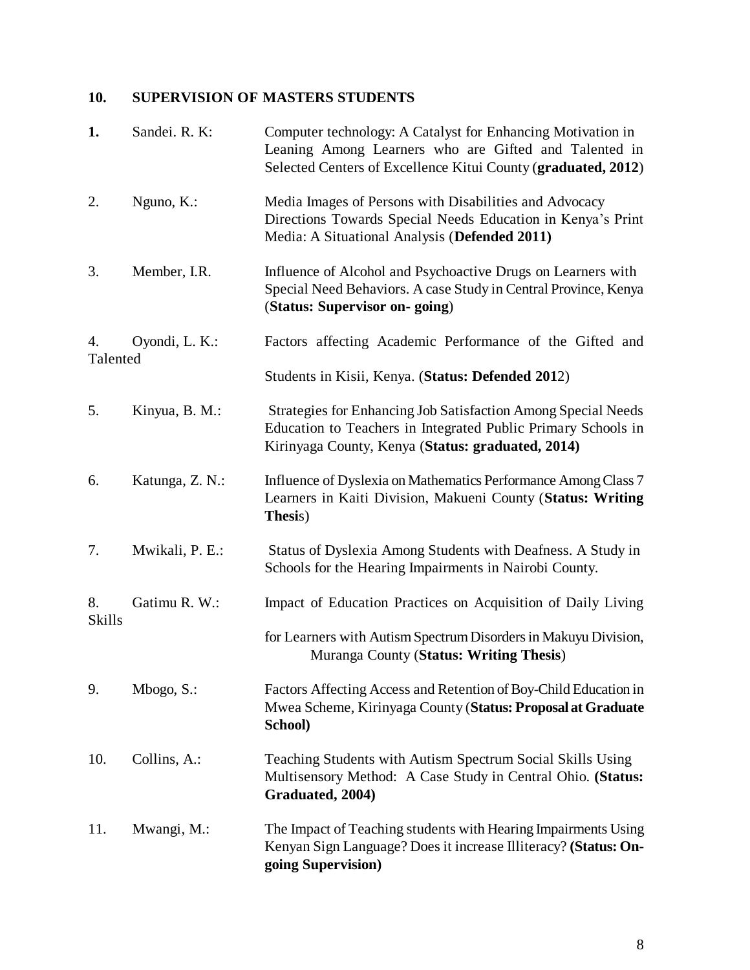# **10. SUPERVISION OF MASTERS STUDENTS**

| 1.             | Sandei. R. K:   | Computer technology: A Catalyst for Enhancing Motivation in<br>Leaning Among Learners who are Gifted and Talented in<br>Selected Centers of Excellence Kitui County (graduated, 2012)      |
|----------------|-----------------|--------------------------------------------------------------------------------------------------------------------------------------------------------------------------------------------|
| 2.             | Nguno, $K$ .:   | Media Images of Persons with Disabilities and Advocacy<br>Directions Towards Special Needs Education in Kenya's Print<br>Media: A Situational Analysis (Defended 2011)                     |
| 3.             | Member, I.R.    | Influence of Alcohol and Psychoactive Drugs on Learners with<br>Special Need Behaviors. A case Study in Central Province, Kenya<br>(Status: Supervisor on-going)                           |
| 4.<br>Talented | Oyondi, L. K.:  | Factors affecting Academic Performance of the Gifted and                                                                                                                                   |
|                |                 | Students in Kisii, Kenya. (Status: Defended 2012)                                                                                                                                          |
| 5.             | Kinyua, B. M.:  | <b>Strategies for Enhancing Job Satisfaction Among Special Needs</b><br>Education to Teachers in Integrated Public Primary Schools in<br>Kirinyaga County, Kenya (Status: graduated, 2014) |
| 6.             | Katunga, Z. N.: | Influence of Dyslexia on Mathematics Performance Among Class 7<br>Learners in Kaiti Division, Makueni County (Status: Writing<br>Thesis)                                                   |
| 7.             | Mwikali, P. E.: | Status of Dyslexia Among Students with Deafness. A Study in<br>Schools for the Hearing Impairments in Nairobi County.                                                                      |
| 8.<br>Skills   | Gatimu R. W.:   | Impact of Education Practices on Acquisition of Daily Living                                                                                                                               |
|                |                 | for Learners with Autism Spectrum Disorders in Makuyu Division,<br>Muranga County (Status: Writing Thesis)                                                                                 |
| 9.             | Mbogo, S.:      | Factors Affecting Access and Retention of Boy-Child Education in<br>Mwea Scheme, Kirinyaga County (Status: Proposal at Graduate<br>School)                                                 |
| 10.            | Collins, A.:    | Teaching Students with Autism Spectrum Social Skills Using<br>Multisensory Method: A Case Study in Central Ohio. (Status:<br>Graduated, 2004)                                              |
| 11.            | Mwangi, M.:     | The Impact of Teaching students with Hearing Impairments Using<br>Kenyan Sign Language? Does it increase Illiteracy? (Status: On-<br>going Supervision)                                    |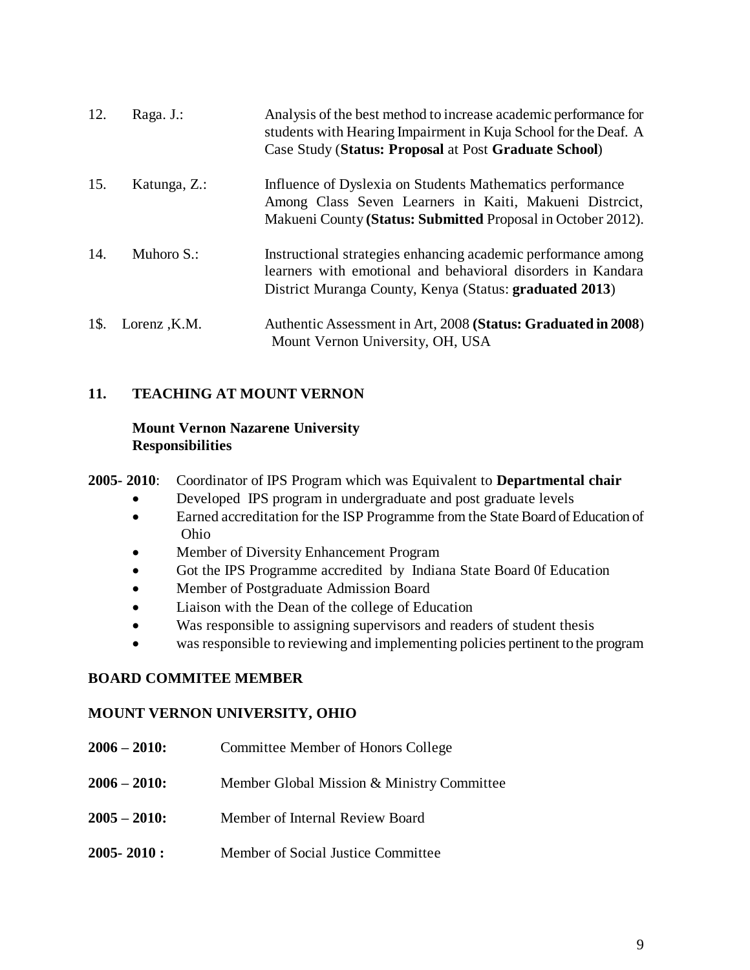| 12.  | Raga. J.:     | Analysis of the best method to increase academic performance for<br>students with Hearing Impairment in Kuja School for the Deaf. A<br>Case Study (Status: Proposal at Post Graduate School) |
|------|---------------|----------------------------------------------------------------------------------------------------------------------------------------------------------------------------------------------|
| 15.  | Katunga, Z.:  | Influence of Dyslexia on Students Mathematics performance<br>Among Class Seven Learners in Kaiti, Makueni Distrcict,<br>Makueni County (Status: Submitted Proposal in October 2012).         |
| 14.  | Muhoro $S$ .: | Instructional strategies enhancing academic performance among<br>learners with emotional and behavioral disorders in Kandara<br>District Muranga County, Kenya (Status: graduated 2013)      |
| 1\$. | Lorenz, K.M.  | Authentic Assessment in Art, 2008 (Status: Graduated in 2008)<br>Mount Vernon University, OH, USA                                                                                            |

# **11. TEACHING AT MOUNT VERNON**

#### **Mount Vernon Nazarene University Responsibilities**

**2005- 2010**: Coordinator of IPS Program which was Equivalent to **Departmental chair**

- Developed IPS program in undergraduate and post graduate levels
- Earned accreditation for the ISP Programme from the State Board of Education of Ohio
- Member of Diversity Enhancement Program
- Got the IPS Programme accredited by Indiana State Board 0f Education
- Member of Postgraduate Admission Board
- Liaison with the Dean of the college of Education
- Was responsible to assigning supervisors and readers of student thesis
- was responsible to reviewing and implementing policies pertinent to the program

## **BOARD COMMITEE MEMBER**

#### **MOUNT VERNON UNIVERSITY, OHIO**

| $2006 - 2010$ : | Committee Member of Honors College         |
|-----------------|--------------------------------------------|
| $2006 - 2010$ : | Member Global Mission & Ministry Committee |
| $2005 - 2010$ : | Member of Internal Review Board            |
| $2005 - 2010$ : | Member of Social Justice Committee         |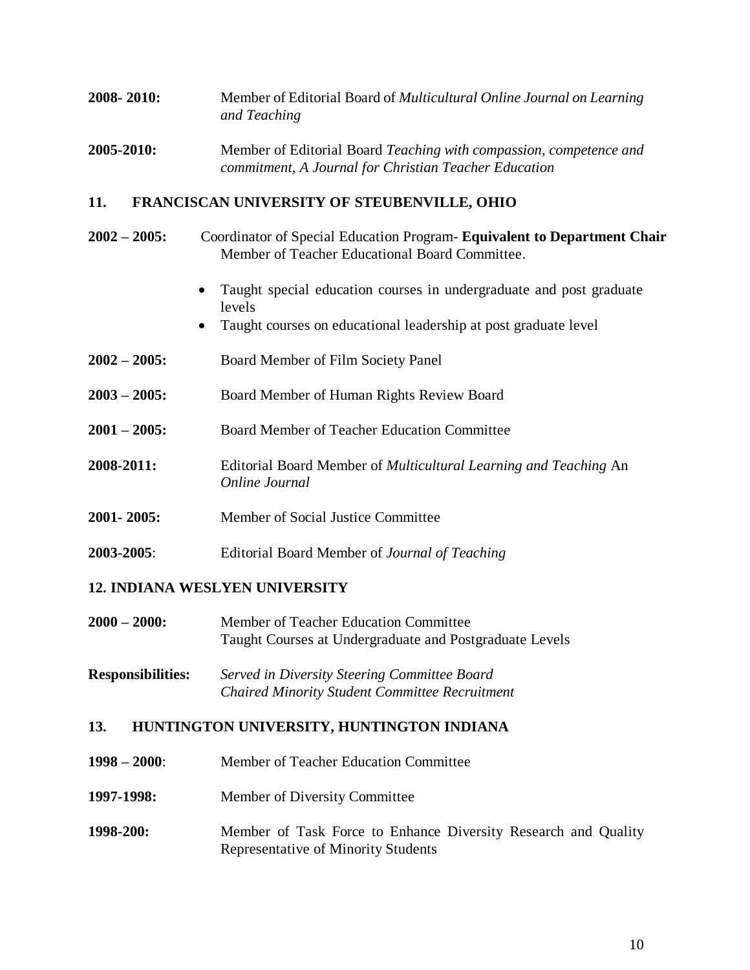# **2008- 2010:** Member of Editorial Board of *Multicultural Online Journal on Learning and Teaching*

## **2005-2010:** Member of Editorial Board *Teaching with compassion, competence and commitment, A Journal for Christian Teacher Education*

# **11. FRANCISCAN UNIVERSITY OF STEUBENVILLE, OHIO**

- **2002 – 2005:** Coordinator of Special Education Program- **Equivalent to Department Chair** Member of Teacher Educational Board Committee.
	- Taught special education courses in undergraduate and post graduate levels
	- Taught courses on educational leadership at post graduate level
- **2002 – 2005:** Board Member of Film Society Panel
- **2003 – 2005:** Board Member of Human Rights Review Board
- **2001 – 2005:** Board Member of Teacher Education Committee
- **2008-2011:** Editorial Board Member of *Multicultural Learning and Teaching* An *Online Journal*
- **2001- 2005:** Member of Social Justice Committee
- **2003-2005**: Editorial Board Member of *Journal of Teaching*

# **12. INDIANA WESLYEN UNIVERSITY**

- **2000 – 2000:** Member of Teacher Education Committee Taught Courses at Undergraduate and Postgraduate Levels
- **Responsibilities:** *Served in Diversity Steering Committee Board Chaired Minority Student Committee Recruitment*

# **13. HUNTINGTON UNIVERSITY, HUNTINGTON INDIANA**

- **1998 – 2000**: Member of Teacher Education Committee
- **1997-1998:** Member of Diversity Committee
- **1998-200:** Member of Task Force to Enhance Diversity Research and Quality Representative of Minority Students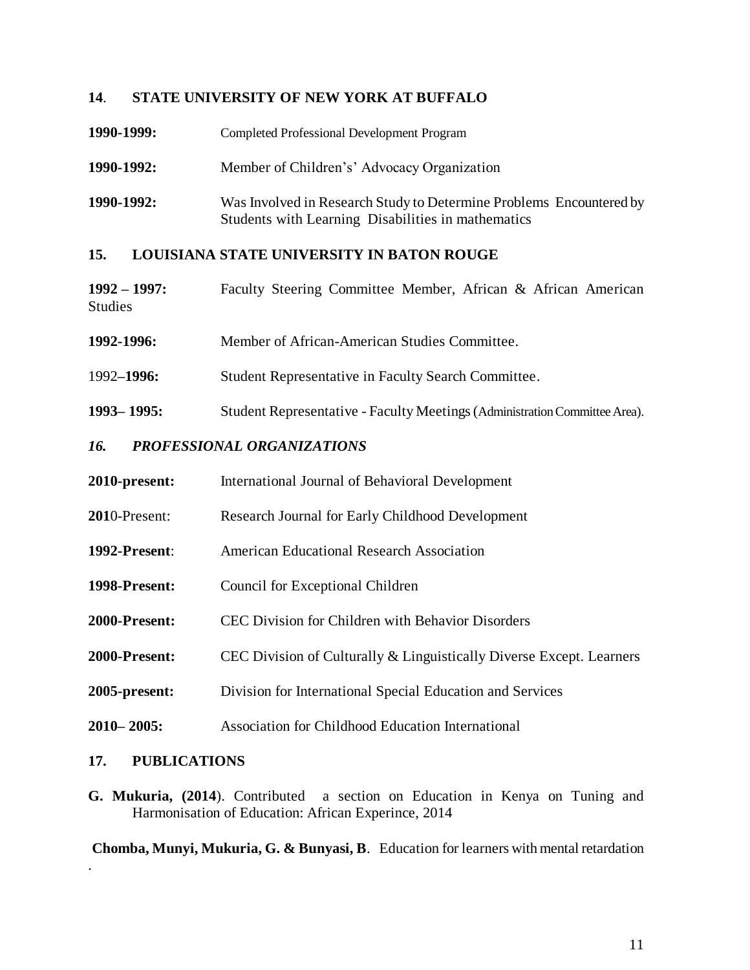## **14**. **STATE UNIVERSITY OF NEW YORK AT BUFFALO**

| 1990-1999: | <b>Completed Professional Development Program</b>                                                                         |
|------------|---------------------------------------------------------------------------------------------------------------------------|
| 1990-1992: | Member of Children's' Advocacy Organization                                                                               |
| 1990-1992: | Was Involved in Research Study to Determine Problems Encountered by<br>Students with Learning Disabilities in mathematics |

## **15. LOUISIANA STATE UNIVERSITY IN BATON ROUGE**

- **1992 – 1997:** Faculty Steering Committee Member, African & African American **Studies**
- **1992-1996:** Member of African-American Studies Committee.
- 1992**–1996:** Student Representative in Faculty Search Committee.
- **1993– 1995:** Student Representative Faculty Meetings (Administration Committee Area).

#### *16. PROFESSIONAL ORGANIZATIONS*

- **2010-present:** International Journal of Behavioral Development
- **201**0-Present: Research Journal for Early Childhood Development
- **1992-Present**: American Educational Research Association
- **1998-Present:** Council for Exceptional Children
- **2000-Present:** CEC Division for Children with Behavior Disorders
- **2000-Present:** CEC Division of Culturally & Linguistically Diverse Except. Learners
- **2005-present:** Division for International Special Education and Services
- **2010– 2005:** Association for Childhood Education International

#### **17. PUBLICATIONS**

.

**G. Mukuria, (2014**). Contributed a section on Education in Kenya on Tuning and Harmonisation of Education: African Experince, 2014

**Chomba, Munyi, Mukuria, G. & Bunyasi, B**. Education for learners with mental retardation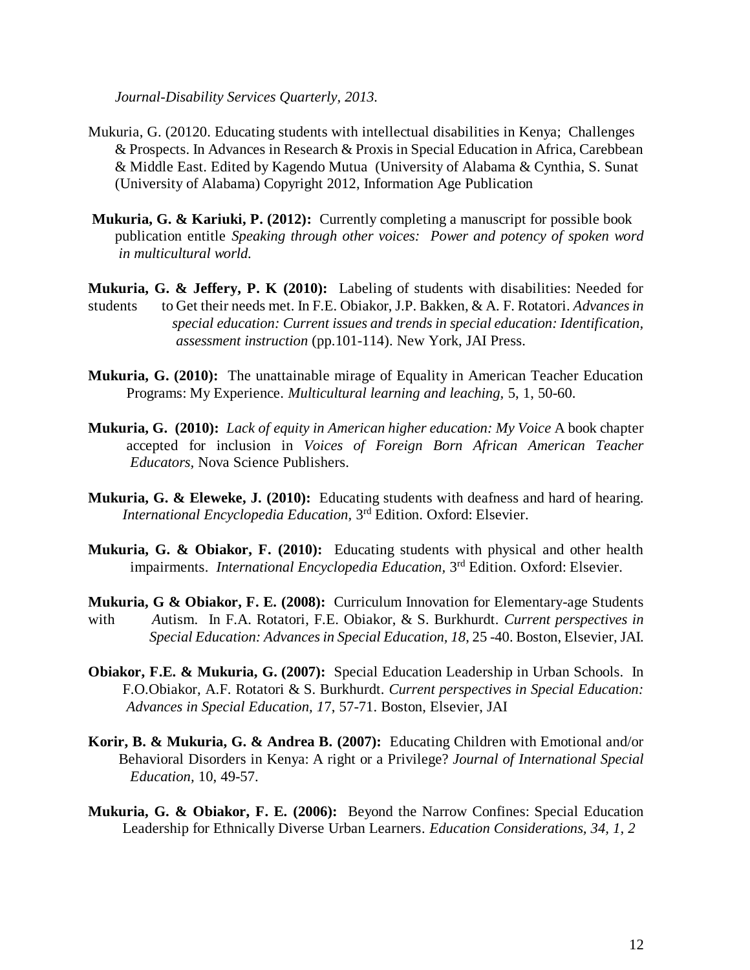*Journal-Disability Services Quarterly, 2013.* 

- Mukuria, G. (20120. Educating students with intellectual disabilities in Kenya; Challenges & Prospects. In Advances in Research & Proxis in Special Education in Africa, Carebbean & Middle East. Edited by Kagendo Mutua (University of Alabama & Cynthia, S. Sunat (University of Alabama) Copyright 2012, Information Age Publication
- **Mukuria, G. & Kariuki, P. (2012):** Currently completing a manuscript for possible book publication entitle *Speaking through other voices: Power and potency of spoken word in multicultural world.*
- **Mukuria, G. & Jeffery, P. K (2010):** Labeling of students with disabilities: Needed for students to Get their needs met. In F.E. Obiakor, J.P. Bakken, & A. F. Rotatori. *Advances in special education: Current issues and trends in special education: Identification, assessment instruction* (pp.101-114). New York, JAI Press.
- **Mukuria, G. (2010):** The unattainable mirage of Equality in American Teacher Education Programs: My Experience. *Multicultural learning and leaching,* 5, 1, 50-60.
- **Mukuria, G. (2010):** *Lack of equity in American higher education: My Voice* A book chapter accepted for inclusion in *Voices of Foreign Born African American Teacher Educators,* Nova Science Publishers.
- **Mukuria, G. & Eleweke, J. (2010):** Educating students with deafness and hard of hearing. International Encyclopedia Education, 3<sup>rd</sup> Edition. Oxford: Elsevier.
- **Mukuria, G. & Obiakor, F. (2010):** Educating students with physical and other health impairments. *International Encyclopedia Education*, 3<sup>rd</sup> Edition. Oxford: Elsevier.
- **Mukuria, G & Obiakor, F. E. (2008):** Curriculum Innovation for Elementary-age Students with *A*utism. In F.A. Rotatori, F.E. Obiakor, & S. Burkhurdt. *Current perspectives in Special Education: Advances in Special Education, 18*, 25 -40. Boston, Elsevier, JAI.
- **Obiakor, F.E. & Mukuria, G. (2007):** Special Education Leadership in Urban Schools. In F.O.Obiakor, A.F. Rotatori & S. Burkhurdt. *Current perspectives in Special Education: Advances in Special Education, 1*7, 57-71. Boston, Elsevier, JAI
- **Korir, B. & Mukuria, G. & Andrea B. (2007):** Educating Children with Emotional and/or Behavioral Disorders in Kenya: A right or a Privilege? *Journal of International Special Education,* 10, 49-57.
- **Mukuria, G. & Obiakor, F. E. (2006):** Beyond the Narrow Confines: Special Education Leadership for Ethnically Diverse Urban Learners*. Education Considerations, 34, 1, 2*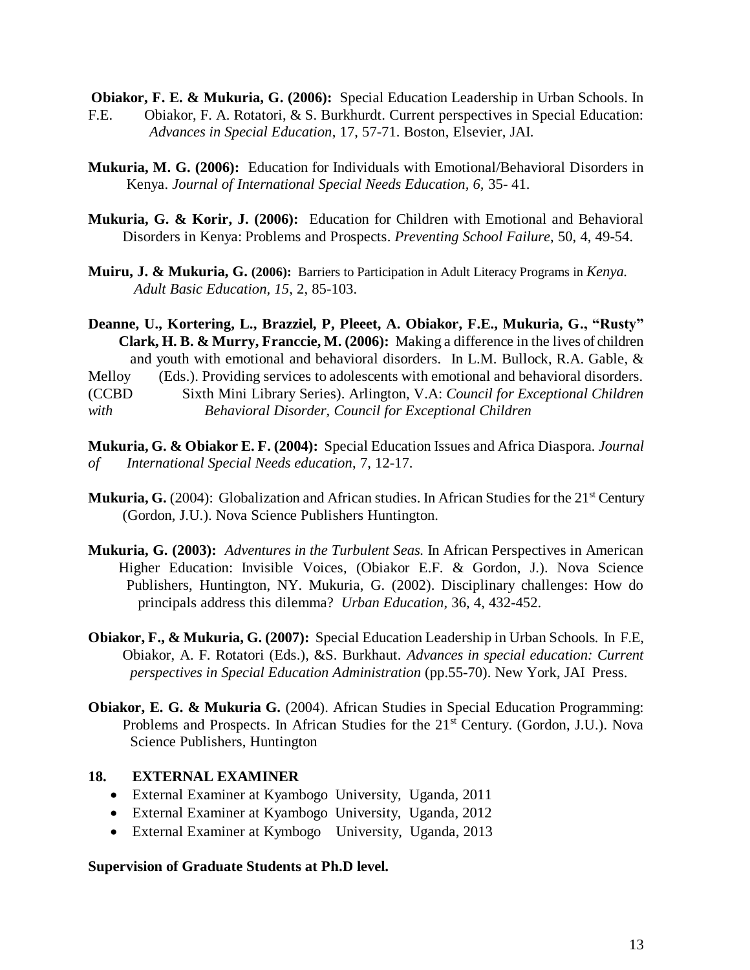**Obiakor, F. E. & Mukuria, G. (2006):** Special Education Leadership in Urban Schools. In

- F.E. Obiakor, F. A. Rotatori, & S. Burkhurdt. Current perspectives in Special Education: *Advances in Special Education*, 17, 57-71. Boston, Elsevier, JAI.
- **Mukuria, M. G. (2006):** Education for Individuals with Emotional/Behavioral Disorders in Kenya. *Journal of International Special Needs Education, 6,* 35- 41.
- **Mukuria, G. & Korir, J. (2006):** Education for Children with Emotional and Behavioral Disorders in Kenya: Problems and Prospects. *Preventing School Failure*, 50, 4, 49-54.
- **Muiru, J. & Mukuria, G. (2006):** Barriers to Participation in Adult Literacy Programs in *Kenya. Adult Basic Education, 15*, 2, 85-103.

**Deanne, U., Kortering, L., Brazziel, P, Pleeet, A. Obiakor, F.E., Mukuria, G., "Rusty" Clark, H. B. & Murry, Franccie, M. (2006):** Making a difference in the lives of children and youth with emotional and behavioral disorders. In L.M. Bullock, R.A. Gable, & Melloy (Eds.). Providing services to adolescents with emotional and behavioral disorders. (CCBD Sixth Mini Library Series). Arlington, V.A: *Council for Exceptional Children with Behavioral Disorder, Council for Exceptional Children*

- **Mukuria, G. & Obiakor E. F. (2004):** Special Education Issues and Africa Diaspora*. Journal of International Special Needs education*, 7, 12-17.
- **Mukuria, G.** (2004): Globalization and African studies. In African Studies for the 21<sup>st</sup> Century (Gordon, J.U.). Nova Science Publishers Huntington.
- **Mukuria, G. (2003):** *Adventures in the Turbulent Seas.* In African Perspectives in American Higher Education: Invisible Voices, (Obiakor E.F. & Gordon, J.). Nova Science Publishers, Huntington, NY. Mukuria, G. (2002). Disciplinary challenges: How do principals address this dilemma? *Urban Education*, 36, 4, 432-452.
- **Obiakor, F., & Mukuria, G. (2007):** Special Education Leadership in Urban Schools*.* In F.E, Obiakor, A. F. Rotatori (Eds.), &S. Burkhaut. *Advances in special education: Current perspectives in Special Education Administration* (pp.55-70). New York, JAI Press.
- **Obiakor, E. G. & Mukuria G.** (2004). African Studies in Special Education Programming: Problems and Prospects. In African Studies for the 21<sup>st</sup> Century. (Gordon, J.U.). Nova Science Publishers, Huntington

#### **18. EXTERNAL EXAMINER**

- External Examiner at Kyambogo University, Uganda, 2011
- External Examiner at Kyambogo University, Uganda, 2012
- External Examiner at Kymbogo University, Uganda, 2013

**Supervision of Graduate Students at Ph.D level.**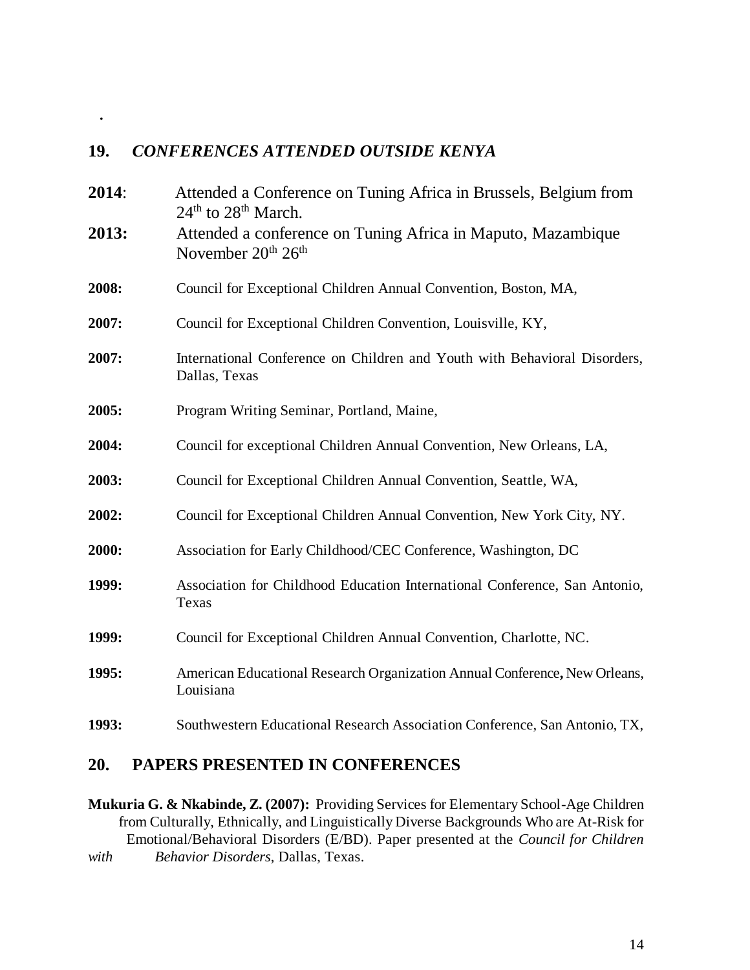# **19.** *CONFERENCES ATTENDED OUTSIDE KENYA*

 **.**

| 2014: | Attended a Conference on Tuning Africa in Brussels, Belgium from<br>24 <sup>th</sup> to 28 <sup>th</sup> March. |
|-------|-----------------------------------------------------------------------------------------------------------------|
| 2013: | Attended a conference on Tuning Africa in Maputo, Mazambique<br>November 20th 26th                              |
| 2008: | Council for Exceptional Children Annual Convention, Boston, MA,                                                 |
| 2007: | Council for Exceptional Children Convention, Louisville, KY,                                                    |
| 2007: | International Conference on Children and Youth with Behavioral Disorders,<br>Dallas, Texas                      |
| 2005: | Program Writing Seminar, Portland, Maine,                                                                       |
| 2004: | Council for exceptional Children Annual Convention, New Orleans, LA,                                            |
| 2003: | Council for Exceptional Children Annual Convention, Seattle, WA,                                                |
| 2002: | Council for Exceptional Children Annual Convention, New York City, NY.                                          |
| 2000: | Association for Early Childhood/CEC Conference, Washington, DC                                                  |
| 1999: | Association for Childhood Education International Conference, San Antonio,<br>Texas                             |
| 1999: | Council for Exceptional Children Annual Convention, Charlotte, NC.                                              |
| 1995: | American Educational Research Organization Annual Conference, New Orleans,<br>Louisiana                         |
| 1993: | Southwestern Educational Research Association Conference, San Antonio, TX,                                      |

# **20. PAPERS PRESENTED IN CONFERENCES**

**Mukuria G. & Nkabinde, Z. (2007):** Providing Services for Elementary School-Age Children from Culturally, Ethnically, and Linguistically Diverse Backgrounds Who are At-Risk for Emotional/Behavioral Disorders (E/BD). Paper presented at the *Council for Children with Behavior Disorders*, Dallas, Texas.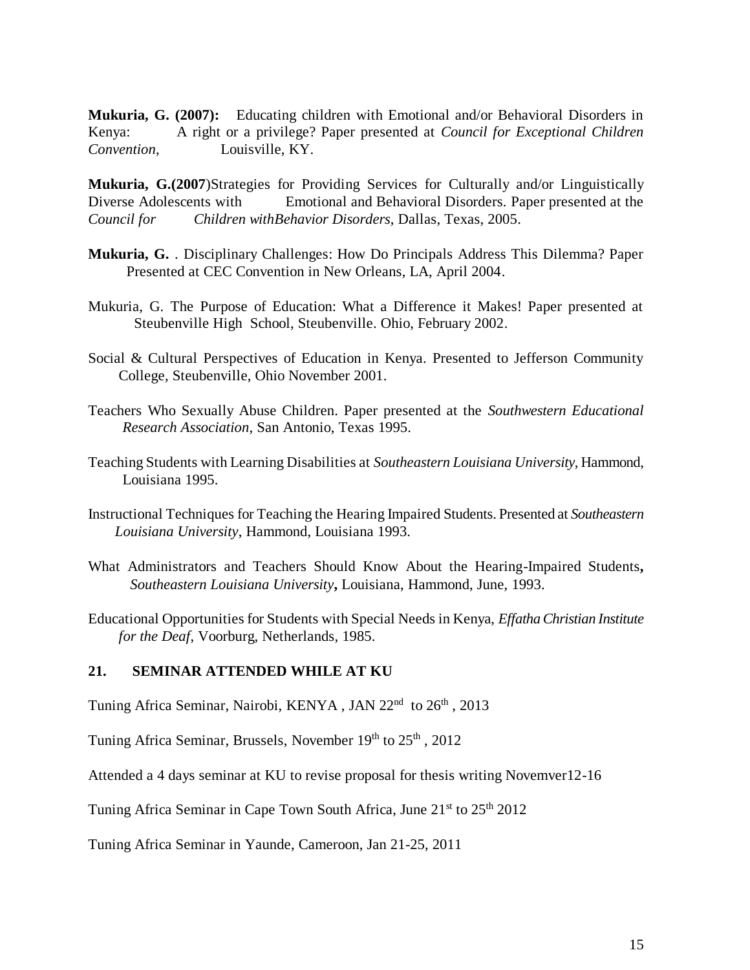**Mukuria, G. (2007):** Educating children with Emotional and/or Behavioral Disorders in Kenya: A right or a privilege? Paper presented at *Council for Exceptional Children Convention*, Louisville, KY.

**Mukuria, G.(2007**)Strategies for Providing Services for Culturally and/or Linguistically Diverse Adolescents with Emotional and Behavioral Disorders. Paper presented at the *Council for Children withBehavior Disorders*, Dallas, Texas, 2005.

- **Mukuria, G.** . Disciplinary Challenges: How Do Principals Address This Dilemma? Paper Presented at CEC Convention in New Orleans, LA, April 2004.
- Mukuria, G. The Purpose of Education: What a Difference it Makes! Paper presented at Steubenville High School, Steubenville. Ohio, February 2002.
- Social & Cultural Perspectives of Education in Kenya. Presented to Jefferson Community College, Steubenville, Ohio November 2001.
- Teachers Who Sexually Abuse Children. Paper presented at the *Southwestern Educational Research Association*, San Antonio, Texas 1995.
- Teaching Students with Learning Disabilities at *Southeastern Louisiana University*, Hammond, Louisiana 1995.
- Instructional Techniques for Teaching the Hearing Impaired Students. Presented at *Southeastern Louisiana University*, Hammond, Louisiana 1993.
- What Administrators and Teachers Should Know About the Hearing-Impaired Students**,** *Southeastern Louisiana University***,** Louisiana, Hammond, June, 1993.
- Educational Opportunities for Students with Special Needs in Kenya, *Effatha Christian Institute for the Deaf*, Voorburg, Netherlands, 1985.

#### **21. SEMINAR ATTENDED WHILE AT KU**

Tuning Africa Seminar, Nairobi, KENYA, JAN 22<sup>nd</sup> to 26<sup>th</sup>, 2013

Tuning Africa Seminar, Brussels, November  $19<sup>th</sup>$  to  $25<sup>th</sup>$ ,  $2012$ 

Attended a 4 days seminar at KU to revise proposal for thesis writing Novemver12-16

Tuning Africa Seminar in Cape Town South Africa, June  $21<sup>st</sup>$  to  $25<sup>th</sup>$  2012

Tuning Africa Seminar in Yaunde, Cameroon, Jan 21-25, 2011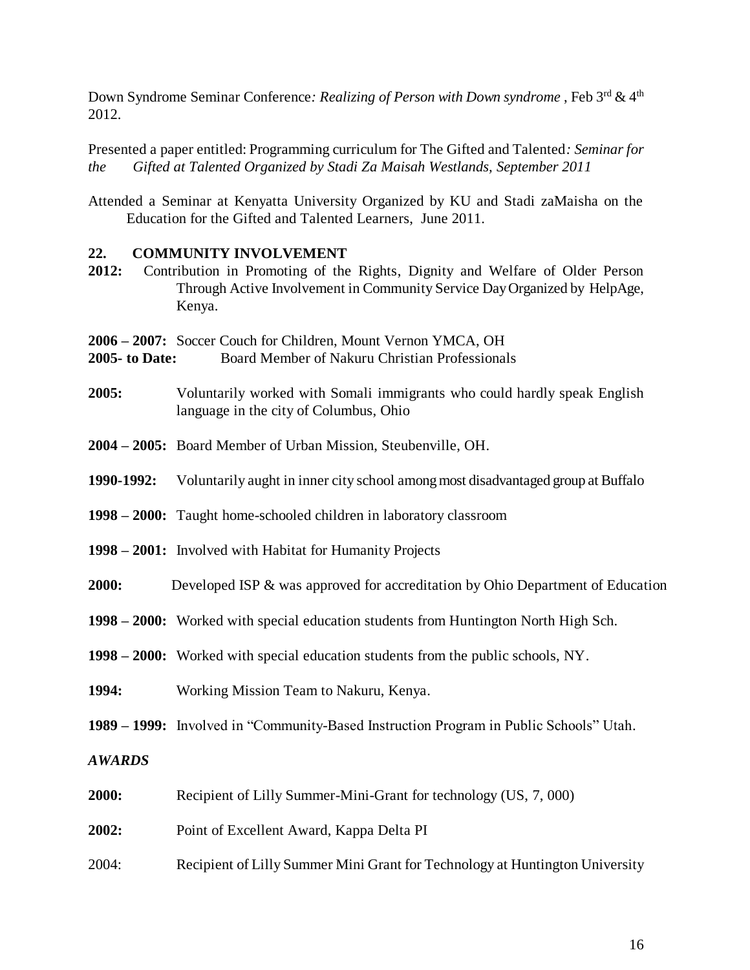Down Syndrome Seminar Conference: *Realizing of Person with Down syndrome*, Feb 3<sup>rd</sup> & 4<sup>th</sup> 2012.

Presented a paper entitled: Programming curriculum for The Gifted and Talented*: Seminar for the Gifted at Talented Organized by Stadi Za Maisah Westlands, September 2011*

Attended a Seminar at Kenyatta University Organized by KU and Stadi zaMaisha on the Education for the Gifted and Talented Learners, June 2011.

#### **22. COMMUNITY INVOLVEMENT**

**2012:** Contribution in Promoting of the Rights, Dignity and Welfare of Older Person Through Active Involvement in Community Service Day Organized by HelpAge, Kenya.

**2006 – 2007:** Soccer Couch for Children, Mount Vernon YMCA, OH

- **2005- to Date:** Board Member of Nakuru Christian Professionals
- **2005:** Voluntarily worked with Somali immigrants who could hardly speak English language in the city of Columbus, Ohio
- **2004 – 2005:** Board Member of Urban Mission, Steubenville, OH.
- **1990-1992:** Voluntarily aught in inner city school among most disadvantaged group at Buffalo
- **1998 – 2000:** Taught home-schooled children in laboratory classroom
- **1998 – 2001:** Involved with Habitat for Humanity Projects
- **2000:** Developed ISP & was approved for accreditation by Ohio Department of Education
- **1998 – 2000:** Worked with special education students from Huntington North High Sch.
- **1998 – 2000:** Worked with special education students from the public schools, NY.
- **1994:** Working Mission Team to Nakuru, Kenya.
- **1989 – 1999:** Involved in "Community-Based Instruction Program in Public Schools" Utah.

## *AWARDS*

- **2000:** Recipient of Lilly Summer-Mini-Grant for technology (US, 7, 000)
- **2002:** Point of Excellent Award, Kappa Delta PI
- 2004: Recipient of Lilly Summer Mini Grant for Technology at Huntington University